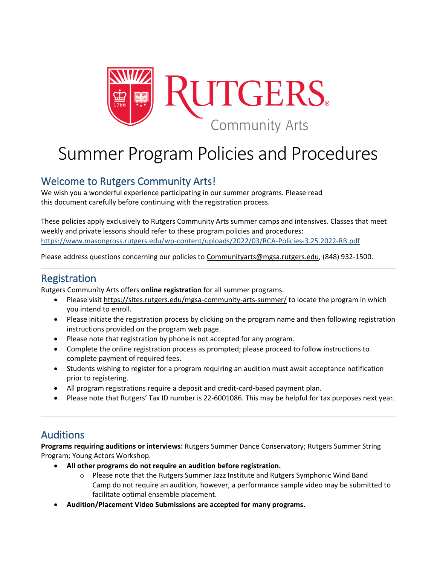

# Summer Program Policies and Procedures

### Welcome to Rutgers Community Arts!

We wish you a wonderful experience participating in our summer programs. Please read this document carefully before continuing with the registration process.

These policies apply exclusively to Rutgers Community Arts summer camps and intensives. Classes that meet weekly and private lessons should refer to these program policies and procedures: <https://www.masongross.rutgers.edu/wp-content/uploads/2022/03/RCA-Policies-3.25.2022-RB.pdf>

Please address questions concerning our policies to [Communityarts@mgsa.rutgers.edu,](mailto:Communityarts@mgsa.rutgers.edu) (848) 932-1500.

#### Registration

Rutgers Community Arts offers **online registration** for all summer programs.

- Please visit <https://sites.rutgers.edu/mgsa-community-arts-summer/> to locate the program in which you intend to enroll.
- Please initiate the registration process by clicking on the program name and then following registration instructions provided on the program web page.
- Please note that registration by phone is not accepted for any program.
- Complete the online registration process as prompted; please proceed to follow instructions to complete payment of required fees.
- Students wishing to register for a program requiring an audition must await acceptance notification prior to registering.
- All program registrations require a deposit and credit-card-based payment plan.
- Please note that Rutgers' Tax ID number is 22-6001086. This may be helpful for tax purposes next year.

### Auditions

**Programs requiring auditions or interviews:** Rutgers Summer Dance Conservatory; Rutgers Summer String Program; Young Actors Workshop.

- **All other programs do not require an audition before registration.**
	- o Please note that the Rutgers Summer Jazz Institute and Rutgers Symphonic Wind Band Camp do not require an audition, however, a performance sample video may be submitted to facilitate optimal ensemble placement.
- **Audition/Placement Video Submissions are accepted for many programs.**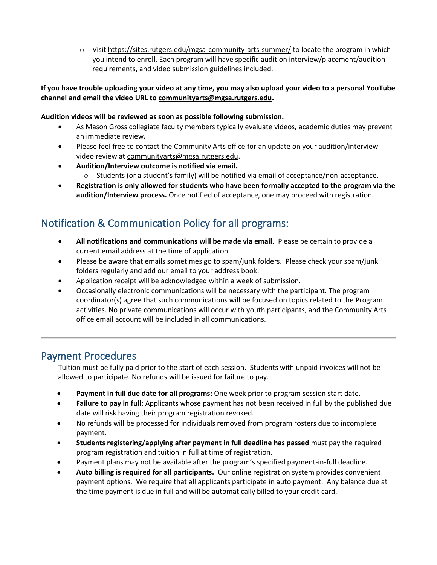o Visit <https://sites.rutgers.edu/mgsa-community-arts-summer/> to locate the program in which you intend to enroll. Each program will have specific audition interview/placement/audition requirements, and video submission guidelines included.

#### If you have trouble uploading your video at any time, you may also upload your video to a personal YouTube **channel and email the video URL to [communityarts@mgsa.rutgers.edu.](mailto:communityarts@mgsa.rutgers.edu)**

#### **Audition videos will be reviewed as soon as possible following submission.**

- As Mason Gross collegiate faculty members typically evaluate videos, academic duties may prevent an immediate review.
- Please feel free to contact the Community Arts office for an update on your audition/interview video review at [communityarts@mgsa.rutgers.edu.](mailto:communityarts@mgsa.rutgers.edu)
- **Audition/Interview outcome is notified via email.**
	- o Students (or a student's family) will be notified via email of acceptance/non-acceptance.
- **Registration is only allowed for students who have been formally accepted to the program via the audition/Interview process.** Once notified of acceptance, one may proceed with registration.

### Notification & Communication Policy for all programs:

- **All notifications and communications will be made via email.** Please be certain to provide a current email address at the time of application.
- Please be aware that emails sometimes go to spam/junk folders. Please check your spam/junk folders regularly and add our email to your address book.
- Application receipt will be acknowledged within a week of submission.
- Occasionally electronic communications will be necessary with the participant. The program coordinator(s) agree that such communications will be focused on topics related to the Program activities. No private communications will occur with youth participants, and the Community Arts office email account will be included in all communications.

#### Payment Procedures

Tuition must be fully paid prior to the start of each session. Students with unpaid invoices will not be allowed to participate. No refunds will be issued for failure to pay.

- **Payment in full due date for all programs:** One week prior to program session start date.
- **Failure to pay in full**: Applicants whose payment has not been received in full by the published due date will risk having their program registration revoked.
- No refunds will be processed for individuals removed from program rosters due to incomplete payment.
- **Students registering/applying after payment in full deadline has passed** must pay the required program registration and tuition in full at time of registration.
- Payment plans may not be available after the program's specified payment-in-full deadline.
- **Auto billing is required for all participants.** Our online registration system provides convenient payment options. We require that all applicants participate in auto payment. Any balance due at the time payment is due in full and will be automatically billed to your credit card.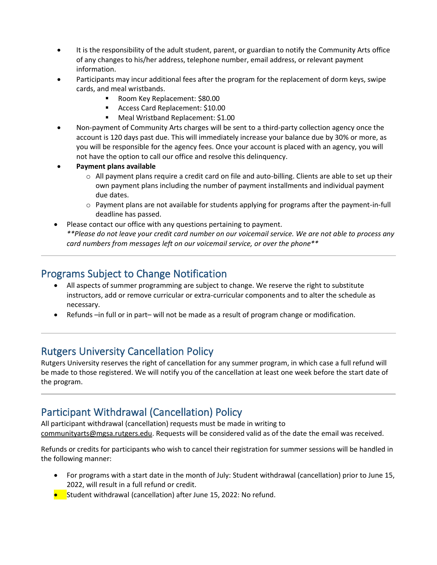- It is the responsibility of the adult student, parent, or guardian to notify the Community Arts office of any changes to his/her address, telephone number, email address, or relevant payment information.
- Participants may incur additional fees after the program for the replacement of dorm keys, swipe cards, and meal wristbands.
	- Room Key Replacement: \$80.00
	- Access Card Replacement: \$10.00
	- Meal Wristband Replacement: \$1.00
- Non-payment of Community Arts charges will be sent to a third-party collection agency once the account is 120 days past due. This will immediately increase your balance due by 30% or more, as you will be responsible for the agency fees. Once your account is placed with an agency, you will not have the option to call our office and resolve this delinquency.
- **Payment plans available**
	- o All payment plans require a credit card on file and auto-billing. Clients are able to set up their own payment plans including the number of payment installments and individual payment due dates.
	- $\circ$  Payment plans are not available for students applying for programs after the payment-in-full deadline has passed.
- Please contact our office with any questions pertaining to payment. \*\*Please do not leave your credit card number on our voicemail service. We are not able to process any *card numbers from messages left on our voicemail service, or over the phone\*\**

### Programs Subject to Change Notification

- All aspects of summer programming are subject to change. We reserve the right to substitute instructors, add or remove curricular or extra-curricular components and to alter the schedule as necessary.
- Refunds –in full or in part– will not be made as a result of program change or modification.

### Rutgers University Cancellation Policy

Rutgers University reserves the right of cancellation for any summer program, in which case a full refund will be made to those registered. We will notify you of the cancellation at least one week before the start date of the program.

### Participant Withdrawal (Cancellation) Policy

All participant withdrawal (cancellation) requests must be made in writing to [communityarts@mgsa.rutgers.edu.](mailto:communityarts@mgsa.rutgers.edu) Requests will be considered valid as of the date the email was received.

Refunds or credits for participants who wish to cancel their registration for summer sessions will be handled in the following manner:

- For programs with a start date in the month of July: Student withdrawal (cancellation) prior to June 15, 2022, will result in a full refund or credit.
- Student withdrawal (cancellation) after June 15, 2022: No refund.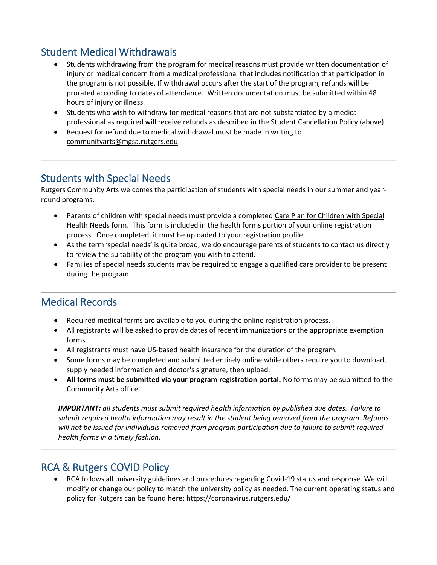# Student Medical Withdrawals

- Students withdrawing from the program for medical reasons must provide written documentation of injury or medical concern from a medical professional that includes notification that participation in the program is not possible. If withdrawal occurs after the start of the program, refunds will be prorated according to dates of attendance. Written documentation must be submitted within 48 hours of injury or illness.
- Students who wish to withdraw for medical reasons that are not substantiated by a medical professional as required will receive refunds as described in the Student Cancellation Policy (above).
- Request for refund due to medical withdrawal must be made in writing to [communityarts@mgsa.rutgers.edu.](mailto:communityarts@mgsa.rutgers.edu)

#### Students with Special Needs

Rutgers Community Arts welcomes the participation of students with special needs in our summer and yearround programs.

- Parents of children with special needs must provide a completed Care Plan for [Children](http://www.state.nj.us/health/forms/ch-15.pdf) with Special [Health](http://www.state.nj.us/health/forms/ch-15.pdf) Needs form. This form is included in the health forms portion of your online registration process. Once completed, it must be uploaded to your registration profile.
- As the term 'special needs' is quite broad, we do encourage parents of students to contact us directly to review the suitability of the program you wish to attend.
- Families of special needs students may be required to engage a qualified care provider to be present during the program.

#### Medical Records

- Required medical forms are available to you during the online registration process.
- All registrants will be asked to provide dates of recent immunizations or the appropriate exemption forms.
- All registrants must have US-based health insurance for the duration of the program.
- Some forms may be completed and submitted entirely online while others require you to download, supply needed information and doctor's signature, then upload.
- **All forms must be submitted via your program registration portal.** No forms may be submitted to the Community Arts office.

*IMPORTANT: all students must submit required health information by published due dates. Failure to submit required health information may result in the student being removed from the program. Refunds will not be issued for individuals removed from program participation due to failure to submit required health forms in a timely fashion.*

#### RCA & Rutgers COVID Policy

• RCA follows all university guidelines and procedures regarding Covid-19 status and response. We will modify or change our policy to match the university policy as needed. The current operating status and policy for Rutgers can be found here:<https://coronavirus.rutgers.edu/>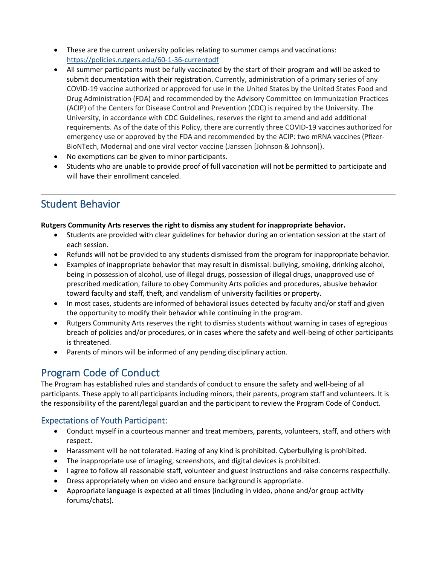- These are the current university policies relating to summer camps and vaccinations: <https://policies.rutgers.edu/60-1-36-currentpdf>
- All summer participants must be fully vaccinated by the start of their program and will be asked to submit documentation with their registration. Currently, administration of a primary series of any COVID-19 vaccine authorized or approved for use in the United States by the United States Food and Drug Administration (FDA) and recommended by the Advisory Committee on Immunization Practices (ACIP) of the Centers for Disease Control and Prevention (CDC) is required by the University. The University, in accordance with CDC Guidelines, reserves the right to amend and add additional requirements. As of the date of this Policy, there are currently three COVID-19 vaccines authorized for emergency use or approved by the FDA and recommended by the ACIP: two mRNA vaccines (Pfizer-BioNTech, Moderna) and one viral vector vaccine (Janssen [Johnson & Johnson]).
- No exemptions can be given to minor participants.
- Students who are unable to provide proof of full vaccination will not be permitted to participate and will have their enrollment canceled.

### Student Behavior

#### **Rutgers Community Arts reserves the right to dismiss any student for inappropriate behavior.**

- Students are provided with clear guidelines for behavior during an orientation session at the start of each session.
- Refunds will not be provided to any students dismissed from the program for inappropriate behavior.
- Examples of inappropriate behavior that may result in dismissal: bullying, smoking, drinking alcohol, being in possession of alcohol, use of illegal drugs, possession of illegal drugs, unapproved use of prescribed medication, failure to obey Community Arts policies and procedures, abusive behavior toward faculty and staff, theft, and vandalism of university facilities or property.
- In most cases, students are informed of behavioral issues detected by faculty and/or staff and given the opportunity to modify their behavior while continuing in the program.
- Rutgers Community Arts reserves the right to dismiss students without warning in cases of egregious breach of policies and/or procedures, or in cases where the safety and well-being of other participants is threatened.
- Parents of minors will be informed of any pending disciplinary action.

# Program Code of Conduct

The Program has established rules and standards of conduct to ensure the safety and well-being of all participants. These apply to all participants including minors, their parents, program staff and volunteers. It is the responsibility of the parent/legal guardian and the participant to review the Program Code of Conduct.

#### Expectations of Youth Participant:

- Conduct myself in a courteous manner and treat members, parents, volunteers, staff, and others with respect.
- Harassment will be not tolerated. Hazing of any kind is prohibited. Cyberbullying is prohibited.
- The inappropriate use of imaging, screenshots, and digital devices is prohibited.
- I agree to follow all reasonable staff, volunteer and guest instructions and raise concerns respectfully.
- Dress appropriately when on video and ensure background is appropriate.
- Appropriate language is expected at all times (including in video, phone and/or group activity forums/chats).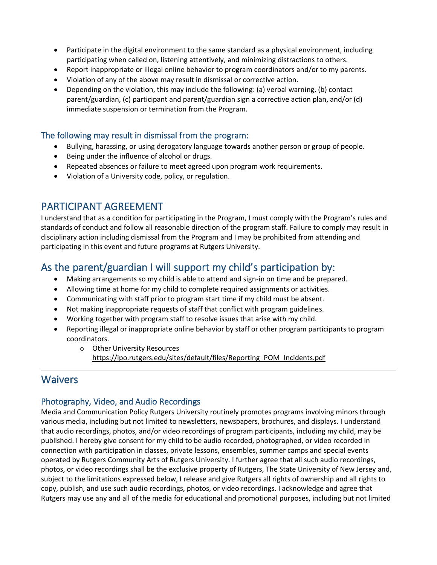- Participate in the digital environment to the same standard as a physical environment, including participating when called on, listening attentively, and minimizing distractions to others.
- Report inappropriate or illegal online behavior to program coordinators and/or to my parents.
- Violation of any of the above may result in dismissal or corrective action.
- Depending on the violation, this may include the following: (a) verbal warning, (b) contact parent/guardian, (c) participant and parent/guardian sign a corrective action plan, and/or (d) immediate suspension or termination from the Program.

#### The following may result in dismissal from the program:

- Bullying, harassing, or using derogatory language towards another person or group of people.
- Being under the influence of alcohol or drugs.
- Repeated absences or failure to meet agreed upon program work requirements.
- Violation of a University code, policy, or regulation.

#### PARTICIPANT AGREEMENT

I understand that as a condition for participating in the Program, I must comply with the Program's rules and standards of conduct and follow all reasonable direction of the program staff. Failure to comply may result in disciplinary action including dismissal from the Program and I may be prohibited from attending and participating in this event and future programs at Rutgers University.

# As the parent/guardian I will support my child's participation by:

- Making arrangements so my child is able to attend and sign-in on time and be prepared.
- Allowing time at home for my child to complete required assignments or activities.
- Communicating with staff prior to program start time if my child must be absent.
- Not making inappropriate requests of staff that conflict with program guidelines.
- Working together with program staff to resolve issues that arise with my child.
- Reporting illegal or inappropriate online behavior by staff or other program participants to program coordinators.
	- o Other University Resources [https://ipo.rutgers.edu/sites/default/files/Reporting\\_POM\\_Incidents.pdf](https://ipo.rutgers.edu/sites/default/files/Reporting_POM_Incidents.pdf)

#### **Waivers**

#### Photography, Video, and Audio Recordings

Media and Communication Policy Rutgers University routinely promotes programs involving minors through various media, including but not limited to newsletters, newspapers, brochures, and displays. I understand that audio recordings, photos, and/or video recordings of program participants, including my child, may be published. I hereby give consent for my child to be audio recorded, photographed, or video recorded in connection with participation in classes, private lessons, ensembles, summer camps and special events operated by Rutgers Community Arts of Rutgers University. I further agree that all such audio recordings, photos, or video recordings shall be the exclusive property of Rutgers, The State University of New Jersey and, subject to the limitations expressed below, I release and give Rutgers all rights of ownership and all rights to copy, publish, and use such audio recordings, photos, or video recordings. I acknowledge and agree that Rutgers may use any and all of the media for educational and promotional purposes, including but not limited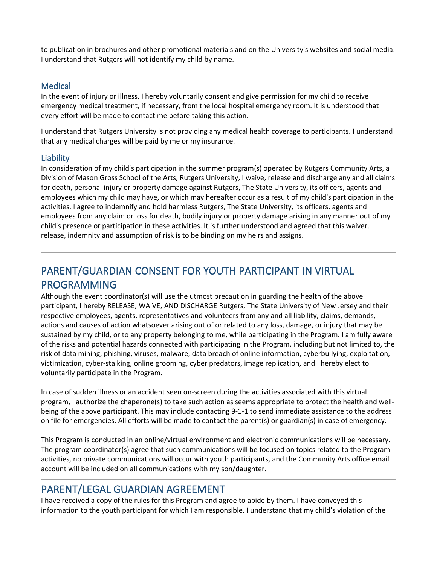to publication in brochures and other promotional materials and on the University's websites and social media. I understand that Rutgers will not identify my child by name.

#### Medical

In the event of injury or illness, I hereby voluntarily consent and give permission for my child to receive emergency medical treatment, if necessary, from the local hospital emergency room. It is understood that every effort will be made to contact me before taking this action.

I understand that Rutgers University is not providing any medical health coverage to participants. I understand that any medical charges will be paid by me or my insurance.

#### **Liability**

In consideration of my child's participation in the summer program(s) operated by Rutgers Community Arts, a Division of Mason Gross School of the Arts, Rutgers University, I waive, release and discharge any and all claims for death, personal injury or property damage against Rutgers, The State University, its officers, agents and employees which my child may have, or which may hereafter occur as a result of my child's participation in the activities. I agree to indemnify and hold harmless Rutgers, The State University, its officers, agents and employees from any claim or loss for death, bodily injury or property damage arising in any manner out of my child's presence or participation in these activities. It is further understood and agreed that this waiver, release, indemnity and assumption of risk is to be binding on my heirs and assigns.

# PARENT/GUARDIAN CONSENT FOR YOUTH PARTICIPANT IN VIRTUAL PROGRAMMING

Although the event coordinator(s) will use the utmost precaution in guarding the health of the above participant, I hereby RELEASE, WAIVE, AND DISCHARGE Rutgers, The State University of New Jersey and their respective employees, agents, representatives and volunteers from any and all liability, claims, demands, actions and causes of action whatsoever arising out of or related to any loss, damage, or injury that may be sustained by my child, or to any property belonging to me, while participating in the Program. I am fully aware of the risks and potential hazards connected with participating in the Program, including but not limited to, the risk of data mining, phishing, viruses, malware, data breach of online information, cyberbullying, exploitation, victimization, cyber-stalking, online grooming, cyber predators, image replication, and I hereby elect to voluntarily participate in the Program.

In case of sudden illness or an accident seen on-screen during the activities associated with this virtual program, I authorize the chaperone(s) to take such action as seems appropriate to protect the health and wellbeing of the above participant. This may include contacting 9-1-1 to send immediate assistance to the address on file for emergencies. All efforts will be made to contact the parent(s) or guardian(s) in case of emergency.

This Program is conducted in an online/virtual environment and electronic communications will be necessary. The program coordinator(s) agree that such communications will be focused on topics related to the Program activities, no private communications will occur with youth participants, and the Community Arts office email account will be included on all communications with my son/daughter.

#### PARENT/LEGAL GUARDIAN AGREEMENT

I have received a copy of the rules for this Program and agree to abide by them. I have conveyed this information to the youth participant for which I am responsible. I understand that my child's violation of the